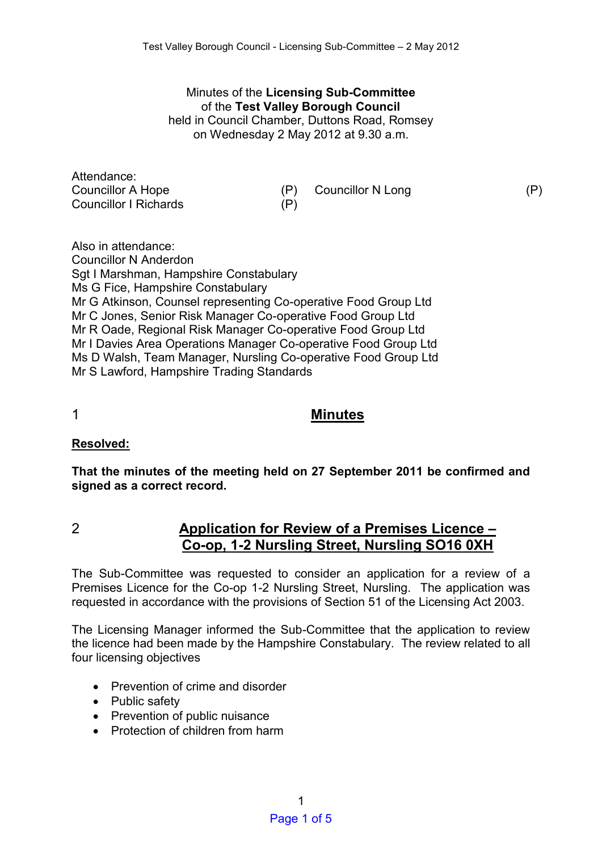# Minutes of the **Licensing Sub-Committee**  of the **Test Valley Borough Council** held in Council Chamber, Duttons Road, Romsey

on Wednesday 2 May 2012 at 9.30 a.m.

Attendance: Councillor A Hope (P) Councillor N Long (P) (P) Councillor I Richards (P)

Also in attendance: Councillor N Anderdon Sgt I Marshman, Hampshire Constabulary Ms G Fice, Hampshire Constabulary Mr G Atkinson, Counsel representing Co-operative Food Group Ltd Mr C Jones, Senior Risk Manager Co-operative Food Group Ltd Mr R Oade, Regional Risk Manager Co-operative Food Group Ltd Mr I Davies Area Operations Manager Co-operative Food Group Ltd Ms D Walsh, Team Manager, Nursling Co-operative Food Group Ltd Mr S Lawford, Hampshire Trading Standards

## 1 **Minutes**

#### **Resolved:**

**That the minutes of the meeting held on 27 September 2011 be confirmed and signed as a correct record.** 

## 2 **Application for Review of a Premises Licence – Co-op, 1-2 Nursling Street, Nursling SO16 0XH**

The Sub-Committee was requested to consider an application for a review of a Premises Licence for the Co-op 1-2 Nursling Street, Nursling. The application was requested in accordance with the provisions of Section 51 of the Licensing Act 2003.

The Licensing Manager informed the Sub-Committee that the application to review the licence had been made by the Hampshire Constabulary. The review related to all four licensing objectives

- Prevention of crime and disorder
- Public safety
- Prevention of public nuisance
- Protection of children from harm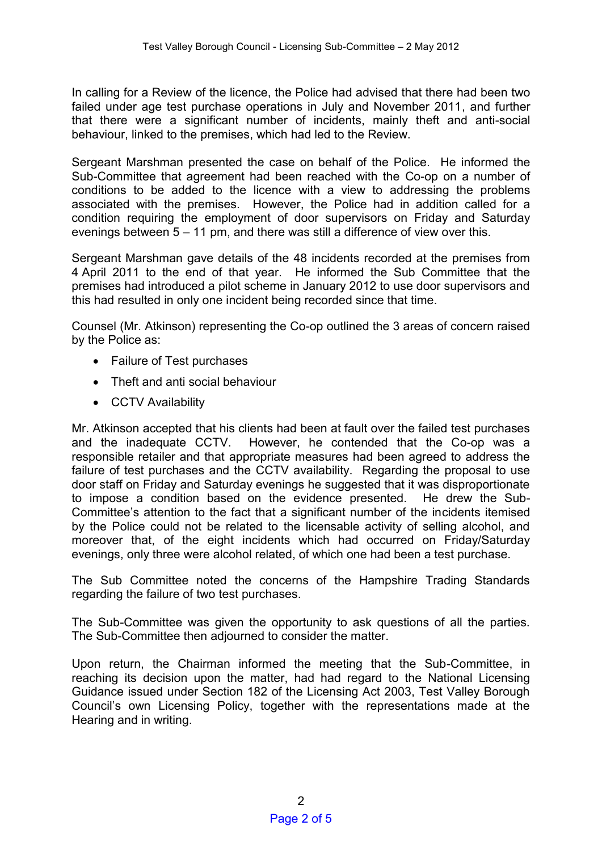In calling for a Review of the licence, the Police had advised that there had been two failed under age test purchase operations in July and November 2011, and further that there were a significant number of incidents, mainly theft and anti-social behaviour, linked to the premises, which had led to the Review.

Sergeant Marshman presented the case on behalf of the Police. He informed the Sub-Committee that agreement had been reached with the Co-op on a number of conditions to be added to the licence with a view to addressing the problems associated with the premises. However, the Police had in addition called for a condition requiring the employment of door supervisors on Friday and Saturday evenings between 5 – 11 pm, and there was still a difference of view over this.

Sergeant Marshman gave details of the 48 incidents recorded at the premises from 4 April 2011 to the end of that year. He informed the Sub Committee that the premises had introduced a pilot scheme in January 2012 to use door supervisors and this had resulted in only one incident being recorded since that time.

Counsel (Mr. Atkinson) representing the Co-op outlined the 3 areas of concern raised by the Police as:

- Failure of Test purchases
- Theft and anti social behaviour
- CCTV Availability

Mr. Atkinson accepted that his clients had been at fault over the failed test purchases and the inadequate CCTV. However, he contended that the Co-op was a responsible retailer and that appropriate measures had been agreed to address the failure of test purchases and the CCTV availability. Regarding the proposal to use door staff on Friday and Saturday evenings he suggested that it was disproportionate to impose a condition based on the evidence presented. He drew the Sub-Committee's attention to the fact that a significant number of the incidents itemised by the Police could not be related to the licensable activity of selling alcohol, and moreover that, of the eight incidents which had occurred on Friday/Saturday evenings, only three were alcohol related, of which one had been a test purchase.

The Sub Committee noted the concerns of the Hampshire Trading Standards regarding the failure of two test purchases.

The Sub-Committee was given the opportunity to ask questions of all the parties. The Sub-Committee then adjourned to consider the matter.

Upon return, the Chairman informed the meeting that the Sub-Committee, in reaching its decision upon the matter, had had regard to the National Licensing Guidance issued under Section 182 of the Licensing Act 2003, Test Valley Borough Council's own Licensing Policy, together with the representations made at the Hearing and in writing.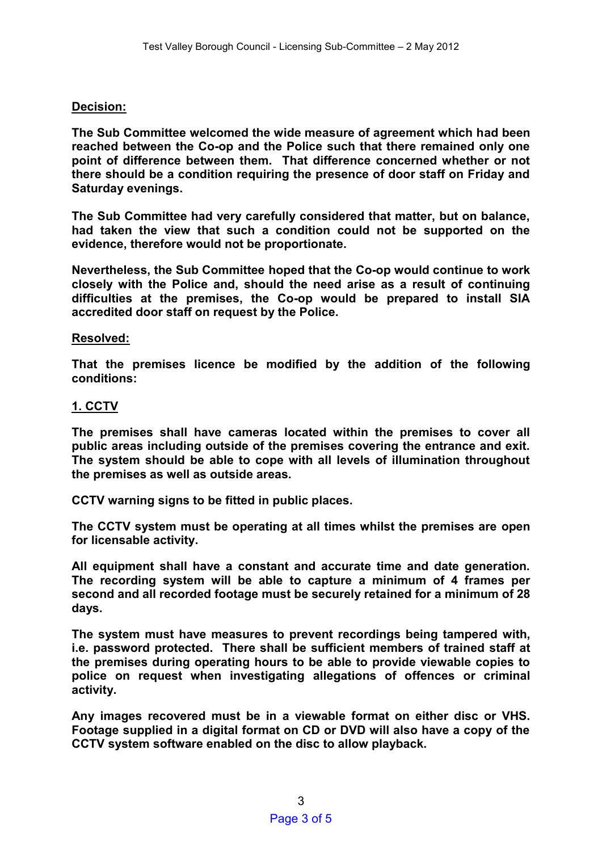## **Decision:**

**The Sub Committee welcomed the wide measure of agreement which had been reached between the Co-op and the Police such that there remained only one point of difference between them. That difference concerned whether or not there should be a condition requiring the presence of door staff on Friday and Saturday evenings.** 

**The Sub Committee had very carefully considered that matter, but on balance, had taken the view that such a condition could not be supported on the evidence, therefore would not be proportionate.** 

**Nevertheless, the Sub Committee hoped that the Co-op would continue to work closely with the Police and, should the need arise as a result of continuing difficulties at the premises, the Co-op would be prepared to install SIA accredited door staff on request by the Police.** 

#### **Resolved:**

**That the premises licence be modified by the addition of the following conditions:** 

### **1. CCTV**

**The premises shall have cameras located within the premises to cover all public areas including outside of the premises covering the entrance and exit. The system should be able to cope with all levels of illumination throughout the premises as well as outside areas.** 

**CCTV warning signs to be fitted in public places.** 

**The CCTV system must be operating at all times whilst the premises are open for licensable activity.** 

**All equipment shall have a constant and accurate time and date generation. The recording system will be able to capture a minimum of 4 frames per second and all recorded footage must be securely retained for a minimum of 28 days.** 

**The system must have measures to prevent recordings being tampered with, i.e. password protected. There shall be sufficient members of trained staff at the premises during operating hours to be able to provide viewable copies to police on request when investigating allegations of offences or criminal activity.** 

**Any images recovered must be in a viewable format on either disc or VHS. Footage supplied in a digital format on CD or DVD will also have a copy of the CCTV system software enabled on the disc to allow playback.**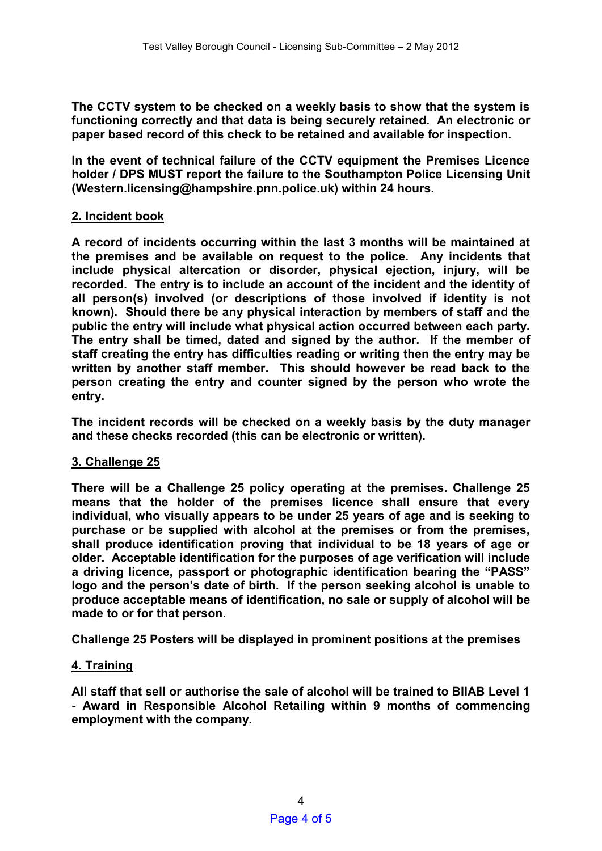**The CCTV system to be checked on a weekly basis to show that the system is functioning correctly and that data is being securely retained. An electronic or paper based record of this check to be retained and available for inspection.** 

**In the event of technical failure of the CCTV equipment the Premises Licence holder / DPS MUST report the failure to the Southampton Police Licensing Unit (Western.licensing@hampshire.pnn.police.uk) within 24 hours.** 

## **2. Incident book**

**A record of incidents occurring within the last 3 months will be maintained at the premises and be available on request to the police. Any incidents that include physical altercation or disorder, physical ejection, injury, will be recorded. The entry is to include an account of the incident and the identity of all person(s) involved (or descriptions of those involved if identity is not known). Should there be any physical interaction by members of staff and the public the entry will include what physical action occurred between each party. The entry shall be timed, dated and signed by the author. If the member of staff creating the entry has difficulties reading or writing then the entry may be written by another staff member. This should however be read back to the person creating the entry and counter signed by the person who wrote the entry.** 

**The incident records will be checked on a weekly basis by the duty manager and these checks recorded (this can be electronic or written).** 

## **3. Challenge 25**

**There will be a Challenge 25 policy operating at the premises. Challenge 25 means that the holder of the premises licence shall ensure that every individual, who visually appears to be under 25 years of age and is seeking to purchase or be supplied with alcohol at the premises or from the premises, shall produce identification proving that individual to be 18 years of age or older. Acceptable identification for the purposes of age verification will include a driving licence, passport or photographic identification bearing the "PASS" logo and the person's date of birth. If the person seeking alcohol is unable to produce acceptable means of identification, no sale or supply of alcohol will be made to or for that person.** 

**Challenge 25 Posters will be displayed in prominent positions at the premises** 

## **4. Training**

**All staff that sell or authorise the sale of alcohol will be trained to BIIAB Level 1 - Award in Responsible Alcohol Retailing within 9 months of commencing employment with the company.**